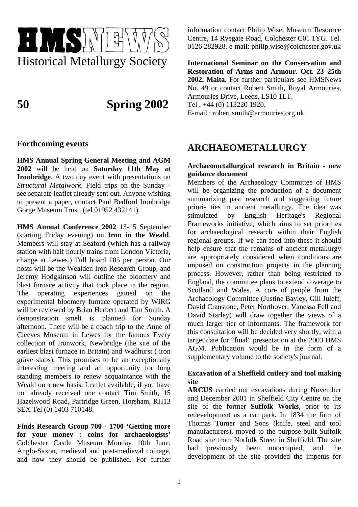

**50 Spring 2002**

# **Forthcoming events**

**HMS Annual Spring General Meeting and AGM 2002** will be held on **Saturday 11th May at Ironbridge**. A two day event with presentations on *Structural Metalwork*. Field trips on the Sunday see separate leaflet already sent out. Anyone wishing to present a paper, contact Paul Bedford Ironbridge Gorge Museum Trust. (tel 01952 432141).

**HMS Annual Conference 2002** 13-15 September (starting Friday evening) on **Iron in the Weald**. Members will stay at Seaford (which has a railway station with half hourly trains from London Victoria, change at Lewes.) Full board £85 per person. Our hosts will be the Wealden Iron Research Group, and Jeremy Hodgkinson will outline the bloomery and blast furnace activity that took place in the region. The operating experiences gained on the experimental bloomery furnace operated by WIRG will be reviewed by Brian Herbert and Tim Smith. A demonstration smelt is planned for Sunday afternoon. There will be a coach trip to the Anne of Cleeves Museum in Lewes for the famous Every collection of Ironwork, Newbridge (the site of the earliest blast furnace in Britain) and Wadhurst ( iron grave slabs). This promises to be an exceptionally interesting meeting and an opportunity for long standing members to renew acquaintance with the Weald on a new basis. Leaflet available, if you have not already received one contact Tim Smith, 15 Hazelwood Road, Partridge Green, Horsham, RH13 SEX Tel (0) 1403 710148.

**Finds Research Group 700 - 1700 'Getting more for your money : coins for archaeologists'** Colchester Castle Museum Monday 10th June. Anglo-Saxon, medieval and post-medieval coinage, and how they should be published. For further information contact Philip Wise, Museum Resource Centre, 14 Ryegate Road, Colchester C01 1YG. Tel. 0126 282928. e-mail: philip.wise@colchester.gov.uk

**International Seminar on the Conservation and Restoration of Arms and Armour. Oct. 23–25th 2002. Malta.** For further particulars see HMSNews No. 49 or contact Robert Smith, Royal Armouries, Armouries Drive, Leeds, LS10 1LT. Tel . +44 (0) 113220 1920. E-mail : robert.smith@armouries.org.uk

# **ARCHAEOMETALLURGY**

## **Archaeometallurgical research in Britain - new guidance document**

Members of the Archaeology Committee of HMS will be organizing the production of a document summarizing past research and suggesting future priori- ties in ancient metallurgy. The idea was stimulated by English Heritage's Regional Frameworks initiative, which aims to set priorities for archaeological research within their English regional groups. If we can feed into these it should help ensure that the remains of ancient metallurgy are appropriately considered when conditions are imposed on construction projects in the planning process. However, rather than being restricted to England, the committee plans to extend coverage to Scotland and Wales. A core of people from the Archaeology Committee (Justine Bayley, Gill Juleff, David Cranstone, Peter Northover, Vanessa Fell and David Starley) will draw together the views of a much larger tier of informants. The framework for this consultation will be decided very shortly, with a target date for "final" presentation at the 2003 HMS AGM. Publication would be in the form of a supplementary volume to the society's journal.

## **Excavation of a Sheffield cutlery and tool making site**

**ARCUS** carried out excavations during November and December 2001 in Sheffield City Centre on the site of the former **Suffolk Works**, prior to its redevelopment as a car park. In 1834 the firm of Thomas Turner and Sons (knife, steel and tool manufacturers), moved to the purpose-built Suffolk Road site from Norfolk Street in Sheffield. The site had previously been unoccupied, and the development of the site provided the impetus for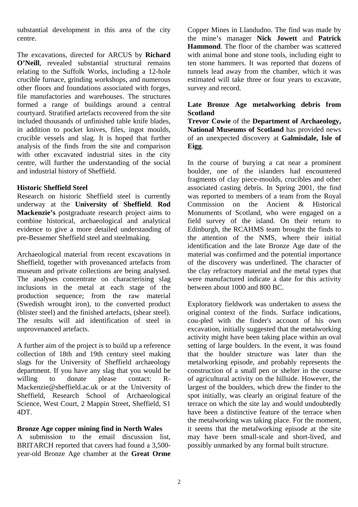substantial development in this area of the city centre.

The excavations, directed for ARCUS by **Richard O'Neill**, revealed substantial structural remains relating to the Suffolk Works, including a 12-hole crucible furnace, grinding workshops, and numerous other floors and foundations associated with forges, file manufactories and warehouses. The structures formed a range of buildings around a central courtyard. Stratified artefacts recovered from the site included thousands of unfinished table knife blades, in addition to pocket knives, files, ingot moulds, crucible vessels and slag. It is hoped that further analysis of the finds from the site and comparison with other excavated industrial sites in the city centre, will further the understanding of the social and industrial history of Sheffield.

## **Historic Sheffield Steel**

Research on historic Sheffield steel is currently underway at the **University of Sheffield**. **Rod Mackenzie's** postgraduate research project aims to combine historical, archaeological and analytical evidence to give a more detailed understanding of pre-Bessemer Sheffield steel and steelmaking.

Archaeological material from recent excavations in Sheffield, together with provenanced artefacts from museum and private collections are being analysed. The analyses concentrate on characterising slag inclusions in the metal at each stage of the production sequence; from the raw material (Swedish wrought iron), to the converted product (blister steel) and the finished artefacts, (shear steel). The results will aid identification of steel in unprovenanced artefacts.

A further aim of the project is to build up a reference collection of 18th and 19th century steel making slags for the University of Sheffield archaeology department. If you have any slag that you would be willing to donate please contact: R-Mackenzie@sheffield.ac.uk or at the University of Sheffield, Research School of Archaeological Science, West Court, 2 Mappin Street, Sheffield, S1 4DT.

## **Bronze Age copper mining find in North Wales**

A submission to the email discussion list, BRITARCH reported that cavers had found a 3,500 year-old Bronze Age chamber at the **Great Orme** Copper Mines in Llandudno. The find was made by the mine's manager **Nick Jowett** and **Patrick Hammond**. The floor of the chamber was scattered with animal bone and stone tools, including eight to ten stone hammers. It was reported that dozens of tunnels lead away from the chamber, which it was estimated will take three or four years to excavate, survey and record.

## **Late Bronze Age metalworking debris from Scotland**

**Trevor Cowie** of the **Department of Archaeology, National Museums of Scotland** has provided news of an unexpected discovery at **Galmisdale, Isle of Eigg**.

In the course of burying a cat near a prominent boulder, one of the islanders had encountered fragments of clay piece-moulds, crucibles and other associated casting debris. In Spring 2001, the find was reported to members of a team from the Royal Commission on the Ancient & Historical Monuments of Scotland, who were engaged on a field survey of the island. On their return to Edinburgh, the RCAHMS team brought the finds to the attention of the NMS, where their initial identification and the late Bronze Age date of the material was confirmed and the potential importance of the discovery was underlined. The character of the clay refractory material and the metal types that were manufactured indicate a date for this activity between about 1000 and 800 BC.

Exploratory fieldwork was undertaken to assess the original context of the finds. Surface indications, cou-pled with the finder's account of his own excavation, initially suggested that the metalworking activity might have been taking place within an oval setting of large boulders. In the event, it was found that the boulder structure was later than the metalworking episode, and probably represents the construction of a small pen or shelter in the course of agricultural activity on the hillside. However, the largest of the boulders, which drew the finder to the spot initially, was clearly an original feature of the terrace on which the site lay and would undoubtedly have been a distinctive feature of the terrace when the metalworking was taking place. For the moment, it seems that the metalworking episode at the site may have been small-scale and short-lived, and possibly unmarked by any formal built structure.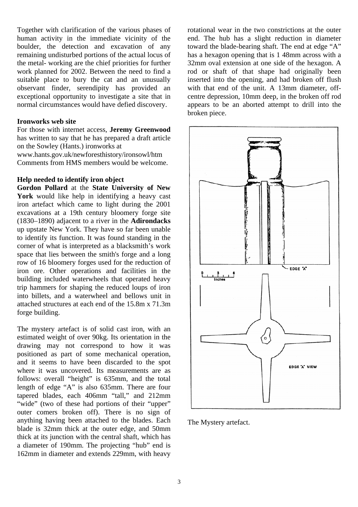Together with clarification of the various phases of human activity in the immediate vicinity of the boulder, the detection and excavation of any remaining undisturbed portions of the actual locus of the metal- working are the chief priorities for further work planned for 2002. Between the need to find a suitable place to bury the cat and an unusually observant finder, serendipity has provided an exceptional opportunity to investigate a site that in normal circumstances would have defied discovery.

#### **Ironworks web site**

For those with internet access, **Jeremy Greenwood** has written to say that he has prepared a draft article on the Sowley (Hants.) ironworks at

www.hants.gov.uk/newforesthistory/ironsowl/htm Comments from HMS members would be welcome.

#### **Help needed to identify iron object**

**Gordon Pollard** at the **State University of New York** would like help in identifying a heavy cast iron artefact which came to light during the 2001 excavations at a 19th century bloomery forge site (1830–1890) adjacent to a river in the **Adirondacks** up upstate New York. They have so far been unable to identify its function. It was found standing in the corner of what is interpreted as a blacksmith's work space that lies between the smith's forge and a long row of 16 bloomery forges used for the reduction of iron ore. Other operations and facilities in the building included waterwheels that operated heavy trip hammers for shaping the reduced loups of iron into billets, and a waterwheel and bellows unit in attached structures at each end of the 15.8m x 71.3m forge building.

The mystery artefact is of solid cast iron, with an estimated weight of over 90kg. Its orientation in the drawing may not correspond to how it was positioned as part of some mechanical operation, and it seems to have been discarded to the spot where it was uncovered. Its measurements are as follows: overall "height" is 635mm, and the total length of edge "A" is also 635mm. There are four tapered blades, each 406mm "tall," and 212mm "wide" (two of these had portions of their "upper" outer comers broken off). There is no sign of anything having been attached to the blades. Each blade is 32mm thick at the outer edge, and 50mm thick at its junction with the central shaft, which has a diameter of 190mm. The projecting "hub" end is 162mm in diameter and extends 229mm, with heavy

rotational wear in the two constrictions at the outer end. The hub has a slight reduction in diameter toward the blade-bearing shaft. The end at edge "A" has a hexagon opening that is 1 48mm across with a 32mm oval extension at one side of the hexagon. A rod or shaft of that shape had originally been inserted into the opening, and had broken off flush with that end of the unit. A 13mm diameter, offcentre depression, 10mm deep, in the broken off rod appears to be an aborted attempt to drill into the broken piece.



The Mystery artefact.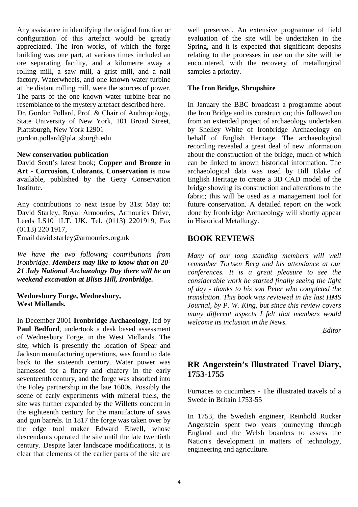Any assistance in identifying the original function or configuration of this artefact would be greatly appreciated. The iron works, of which the forge building was one part, at various times included an ore separating facility, and a kilometre away a rolling mill, a saw mill, a grist mill, and a nail factory. Waterwheels, and one known water turbine at the distant rolling mill, were the sources of power. The parts of the one known water turbine bear no resemblance to the mystery artefact described here. Dr. Gordon Pollard, Prof. & Chair of Anthropology, State University of New York, 101 Broad Street, Plattsburgh, New York 12901

gordon.pollard@plattsburgh.edu

#### **New conservation publication**

David Scott's latest book; **Copper and Bronze in Art - Corrosion, Colorants, Conservation** is now available, published by the Getty Conservation Institute.

Any contributions to next issue by 31st May to: David Starley, Royal Armouries, Armouries Drive, Leeds LS10 1LT. UK. Tel. (0113) 2201919, Fax (0113) 220 1917,

Email david.starley@armouries.org.uk

*We have the two following contributions from Ironbridge. Members may like to know that on 20- 21 July National Archaeology Day there will be an weekend excavation at Blists Hill, Ironbridge.* 

#### **Wednesbury Forge, Wednesbury, West Midlands.**

In December 2001 **Ironbridge Archaeology**, led by **Paul Bedford**, undertook a desk based assessment of Wednesbury Forge, in the West Midlands. The site, which is presently the location of Spear and Jackson manufacturing operations, was found to date back to the sixteenth century. Water power was harnessed for a finery and chafery in the early seventeenth century, and the forge was absorbed into the Foley partnership in the late 1600s. Possibly the scene of early experiments with mineral fuels, the site was further expanded by the Willetts concern in the eighteenth century for the manufacture of saws and gun barrels. In 1817 the forge was taken over by the edge tool maker Edward Elwell, whose descendants operated the site until the late twentieth century. Despite later landscape modifications, it is clear that elements of the earlier parts of the site are well preserved. An extensive programme of field evaluation of the site will be undertaken in the Spring, and it is expected that significant deposits relating to the processes in use on the site will be encountered, with the recovery of metallurgical samples a priority.

## **The Iron Bridge, Shropshire**

In January the BBC broadcast a programme about the Iron Bridge and its construction; this followed on from an extended project of archaeology undertaken by Shelley White of Ironbridge Archaeology on behalf of English Heritage. The archaeological recording revealed a great deal of new information about the construction of the bridge, much of which can be linked to known historical information. The archaeological data was used by Bill Blake of English Heritage to create a 3D CAD model of the bridge showing its construction and alterations to the fabric; this will be used as a management tool for future conservation. A detailed report on the work done by Ironbridge Archaeology will shortly appear in Historical Metallurgy.

## **BOOK REVIEWS**

*Many of our long standing members will well remember Tortsen Berg and his attendance at our conferences. It is a great pleasure to see the considerable work he started finally seeing the light of day - thanks to his son Peter who completed the translation. This book was reviewed in the last HMS Journal, by P. W. King, but since this review covers many different aspects I felt that members would welcome its inclusion in the News.* 

 *Editor* 

# **RR Angerstein's Illustrated Travel Diary, 1753-1755**

Furnaces to cucumbers - The illustrated travels of a Swede in Britain 1753-55

In 1753, the Swedish engineer, Reinhold Rucker Angerstein spent two years journeying through England and the Welsh boarders to assess the Nation's development in matters of technology, engineering and agriculture.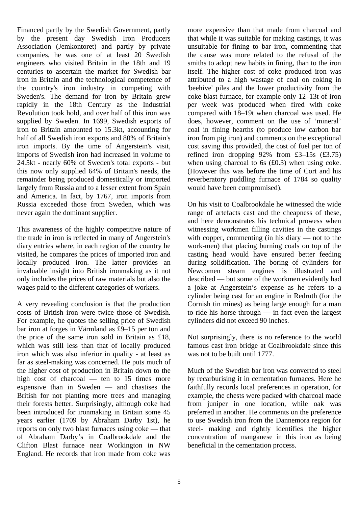Financed partly by the Swedish Government, partly by the present day Swedish Iron Producers Association (Jemkontoret) and partly by private companies, he was one of at least 20 Swedish engineers who visited Britain in the 18th and 19 centuries to ascertain the market for Swedish bar iron in Britain and the technological competence of the country's iron industry in competing with Sweden's. The demand for iron by Britain grew rapidly in the 18th Century as the Industrial Revolution took hold, and over half of this iron was supplied by Sweden. In 1699, Swedish exports of iron to Britain amounted to 15.3kt, accounting for half of all Swedish iron exports and 80% of Britain's iron imports. By the time of Angerstein's visit, imports of Swedish iron had increased in volume to 24.5kt - nearly 60% of Sweden's total exports - but this now only supplied 64% of Britain's needs, the remainder being produced domestically or imported largely from Russia and to a lesser extent from Spain and America. In fact, by 1767, iron imports from Russia exceeded those from Sweden, which was never again the dominant supplier.

This awareness of the highly competitive nature of the trade in iron is reflected in many of Angerstein's diary entries where, in each region of the country he visited, he compares the prices of imported iron and locally produced iron. The latter provides an invaluable insight into British ironmaking as it not only includes the prices of raw materials but also the wages paid to the different categories of workers.

A very revealing conclusion is that the production costs of British iron were twice those of Swedish. For example, he quotes the selling price of Swedish bar iron at forges in Värmland as £9–15 per ton and the price of the same iron sold in Britain as £18, which was still less than that of locally produced iron which was also inferior in quality - at least as far as steel-making was concerned. He puts much of the higher cost of production in Britain down to the high cost of charcoal — ten to 15 times more expensive than in Sweden — and chastises the British for not planting more trees and managing their forests better. Surprisingly, although coke had been introduced for ironmaking in Britain some 45 years earlier (1709 by Abraham Darby 1st), he reports on only two blast furnaces using coke — that of Abraham Darby's in Coalbrookdale and the Clifton Blast furnace near Workington in NW England. He records that iron made from coke was

more expensive than that made from charcoal and that while it was suitable for making castings, it was unsuitable for fining to bar iron, commenting that the cause was more related to the refusal of the smiths to adopt new habits in fining, than to the iron itself. The higher cost of coke produced iron was attributed to a high wastage of coal on coking in 'beehive' piles and the lower productivity from the coke blast furnace, for example only 12–13t of iron per week was produced when fired with coke compared with 18–19t when charcoal was used. He does, however, comment on the use of 'mineral' coal in fining hearths (to produce low carbon bar iron from pig iron) and comments on the exceptional cost saving this provided, the cost of fuel per ton of refined iron dropping  $92\%$  from £3–15s (£3.75) when using charcoal to 6s (£0.3) when using coke. (However this was before the time of Cort and his reverberatory puddling furnace of 1784 so quality would have been compromised).

On his visit to Coalbrookdale he witnessed the wide range of artefacts cast and the cheapness of these, and here demonstrates his technical prowess when witnessing workmen filling cavities in the castings with copper, commenting (in his diary — not to the work-men) that placing burning coals on top of the casting head would have ensured better feeding during solidification. The boring of cylinders for Newcomen steam engines is illustrated and described — but some of the workmen evidently had a joke at Angerstein's expense as he refers to a cylinder being cast for an engine in Redruth (for the Cornish tin mines) as being large enough for a man to ride his horse through — in fact even the largest cylinders did not exceed 90 inches.

Not surprisingly, there is no reference to the world famous cast iron bridge at Coalbrookdale since this was not to be built until 1777.

Much of the Swedish bar iron was converted to steel by recarburising it in cementation furnaces. Here he faithfully records local preferences in operation, for example, the chests were packed with charcoal made from juniper in one location, while oak was preferred in another. He comments on the preference to use Swedish iron from the Dannemora region for steel- making and rightly identifies the higher concentration of manganese in this iron as being beneficial in the cementation process.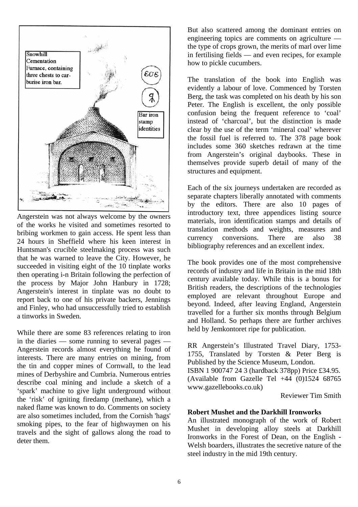

Angerstein was not always welcome by the owners of the works he visited and sometimes resorted to bribing workmen to gain access. He spent less than 24 hours in Sheffield where his keen interest in Huntsman's crucible steelmaking process was such that he was warned to leave the City. However, he succeeded in visiting eight of the 10 tinplate works then operating i-n Britain following the perfection of the process by Major John Hanbury in 1728; Angerstein's interest in tinplate was no doubt to report back to one of his private backers, Jennings and Finley, who had unsuccessfully tried to establish a tinworks in Sweden.

While there are some 83 references relating to iron in the diaries — some running to several pages — Angerstein records almost everything he found of interests. There are many entries on mining, from the tin and copper mines of Cornwall, to the lead mines of Derbyshire and Cumbria. Numerous entries describe coal mining and include a sketch of a 'spark' machine to give light underground without the 'risk' of igniting firedamp (methane), which a naked flame was known to do. Comments on society are also sometimes included, from the Cornish 'hags' smoking pipes, to the fear of highwaymen on his travels and the sight of gallows along the road to deter them.

But also scattered among the dominant entries on engineering topics are comments on agriculture the type of crops grown, the merits of marl over lime in fertilising fields — and even recipes, for example how to pickle cucumbers.

The translation of the book into English was evidently a labour of love. Commenced by Torsten Berg, the task was completed on his death by his son Peter. The English is excellent, the only possible confusion being the frequent reference to 'coal' instead of 'charcoal', but the distinction is made clear by the use of the term 'mineral coal' wherever the fossil fuel is referred to. The 378 page book includes some 360 sketches redrawn at the time from Angerstein's original daybooks. These in themselves provide superb detail of many of the structures and equipment.

Each of the six journeys undertaken are recorded as separate chapters liberally annotated with comments by the editors. There are also 10 pages of introductory text, three appendices listing source materials, iron identification stamps and details of translation methods and weights, measures and currency conversions. There are also 38 bibliography references and an excellent index.

The book provides one of the most comprehensive records of industry and life in Britain in the mid 18th century available today. While this is a bonus for British readers, the descriptions of the technologies employed are relevant throughout Europe and beyond. Indeed, after leaving England, Angerstein travelled for a further six months through Belgium and Holland. So perhaps there are further archives held by Jemkontoret ripe for publication.

RR Angerstein's Illustrated Travel Diary, 1753- 1755, Translated by Torsten & Peter Berg is Published by the Science Museum, London.

ISBN 1 900747 24 3 (hardback 378pp) Price £34.95. (Available from Gazelle Tel +44 (0)1524 68765 www.gazellebooks.co.uk)

Reviewer Tim Smith

#### **Robert Mushet and the Darkhill Ironworks**

An illustrated monograph of the work of Robert Mushet in developing alloy steels at Darkhill Ironworks in the Forest of Dean, on the English - Welsh boarders, illustrates the secretive nature of the steel industry in the mid 19th century.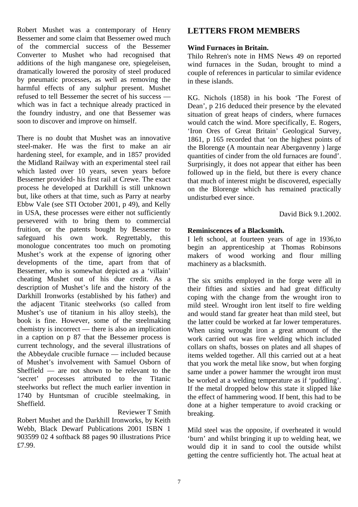Robert Mushet was a contemporary of Henry Bessemer and some claim that Bessemer owed much of the commercial success of the Bessemer Converter to Mushet who had recognised that additions of the high manganese ore, spiegeleisen, dramatically lowered the porosity of steel produced by pneumatic processes, as well as removing the harmful effects of any sulphur present. Mushet refused to tell Bessemer the secret of his success which was in fact a technique already practiced in the foundry industry, and one that Bessemer was soon to discover and improve on himself.

There is no doubt that Mushet was an innovative steel-maker. He was the first to make an air hardening steel, for example, and in 1857 provided the Midland Railway with an experimental steel rail which lasted over 10 years, seven years before Bessemer provided- his first rail at Crewe. The exact process he developed at Darkhill is still unknown but, like others at that time, such as Parry at nearby Ebbw Vale (see STI October 2001, p 49), and Kelly in USA, these processes were either not sufficiently persevered with to bring them to commercial fruition, or the patents bought by Bessemer to safeguard his own work. Regrettably, this monologue concentrates too much on promoting Mushet's work at the expense of ignoring other developments of the time, apart from that of Bessemer, who is somewhat depicted as a 'villain' cheating Mushet out of his due credit. As a description of Mushet's life and the history of the Darkhill Ironworks (established by his father) and the adjacent Titanic steelworks (so called from Mushet's use of titanium in his alloy steels), the book is fine. However, some of the steelmaking chemistry is incorrect — there is also an implication in a caption on p 87 that the Bessemer process is current technology, and the several illustrations of the Abbeydale crucible furnace — included because of Mushet's involvement with Samuel Osborn of Sheffield — are not shown to be relevant to the 'secret' processes attributed to the Titanic steelworks but reflect the much earlier invention in 1740 by Huntsman of crucible steelmaking, in Sheffield.

Reviewer T Smith

Robert Mushet and the Darkhill Ironworks, by Keith Webb, Black Dewarf Publications 2001 ISBN 1 903599 02 4 softback 88 pages 90 illustrations Price £7.99.

# **LETTERS FROM MEMBERS**

## **Wind Furnaces in Britain.**

Thilo Rehren's note in HMS News 49 on reported wind furnaces in the Sudan, brought to mind a couple of references in particular to similar evidence in these islands.

KG. Nichols (1858) in his book 'The Forest of Dean', p 216 deduced their presence by the elevated situation of great heaps of cinders, where furnaces would catch the wind. More specifically, E. Rogers, 'Iron Ores of Great Britain' Geological Survey, 1861, p 165 recorded that 'on the highest points of the Blorenge (A mountain near Abergavenny ) large quantities of cinder from the old furnaces are found'. Surprisingly, it does not appear that either has been followed up in the field, but there is every chance that much of interest might be discovered, especially on the Blorenge which has remained practically undisturbed ever since.

David Bick 9.1.2002.

# **Reminiscences of a Blacksmith.**

I left school, at fourteen years of age in 1936,to begin an apprenticeship at Thomas Robinsons makers of wood working and flour milling machinery as a blacksmith.

The six smiths employed in the forge were all in their fifties and sixties and had great difficulty coping with the change from the wrought iron to mild steel. Wrought iron lent itself to fire welding and would stand far greater heat than mild steel, but the latter could be worked at far lower temperatures. When using wrought iron a great amount of the work carried out was fire welding which included collars on shafts, bosses on plates and all shapes of items welded together. All this carried out at a heat that you work the metal like snow, but when forging same under a power hammer the wrought iron must be worked at a welding temperature as if 'puddling'. If the metal dropped below this state it slipped like the effect of hammering wood. If bent, this had to be done at a higher temperature to avoid cracking or breaking.

Mild steel was the opposite, if overheated it would 'burn' and whilst bringing it up to welding heat, we would dip it in sand to cool the outside whilst getting the centre sufficiently hot. The actual heat at